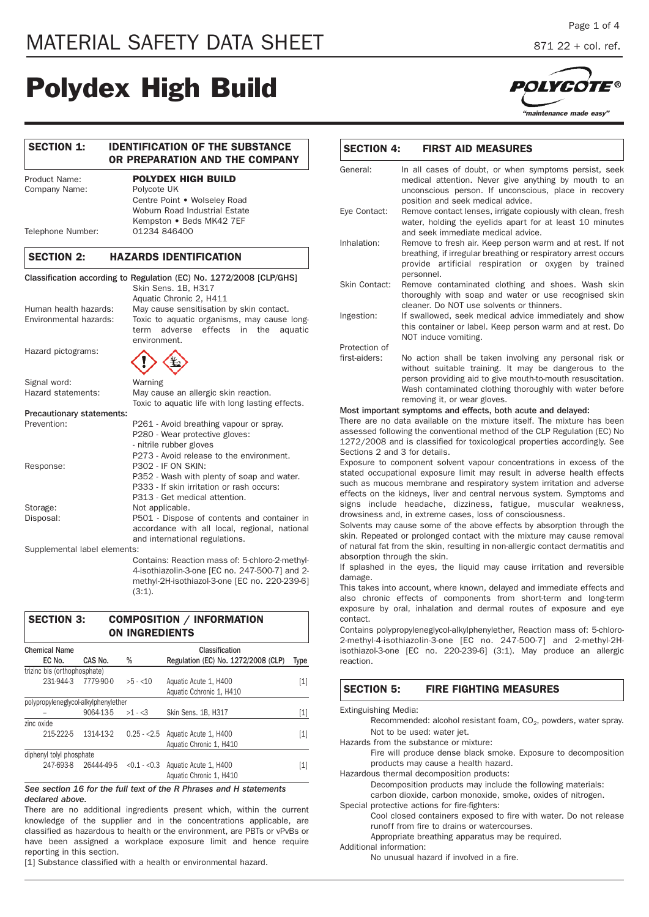# **Polydex High Build**

# **SECTION 1: IDENTIFICATION OF THE SUBSTANCE OR PREPARATION AND THE COMPANY** Product Name: **POLYDEX HIGH BUILD** Company Name: Polycote UK Centre Point • Wolseley Road Woburn Road Industrial Estate Kempston • Beds MK42 7EF Telephone Number: 01234 846400 **SECTION 2: HAZARDS IDENTIFICATION** Classification according to Regulation (EC) No. 1272/2008 [CLP/GHS] Skin Sens. 1B, H317 Aquatic Chronic 2, H411 Human health hazards: May cause sensitisation by skin contact. Environmental hazards: Toxic to aquatic organisms, may cause longterm adverse effects in the aquatic environment. Hazard pictograms: Signal word: Warning

| <b>Sigrial Word.</b>             | VVOITIIIE                                        |
|----------------------------------|--------------------------------------------------|
| Hazard statements:               | May cause an allergic skin reaction.             |
|                                  | Toxic to aquatic life with long lasting effects. |
| <b>Precautionary statements:</b> |                                                  |
| Prevention:                      | P261 - Avoid breathing vapour or spray.          |
|                                  | P280 - Wear protective gloves:                   |
|                                  | - nitrile rubber gloves                          |
|                                  | P273 - Avoid release to the environment.         |
| Response:                        | <b>P302 - IF ON SKIN:</b>                        |
|                                  | P352 - Wash with plenty of soap and water.       |
|                                  | P333 - If skin irritation or rash occurs:        |
|                                  | P313 - Get medical attention.                    |
| Storage:                         | Not applicable.                                  |
| Disposal:                        | P501 - Dispose of contents and container in      |
|                                  | accordance with all local, regional, national    |
|                                  | and international regulations.                   |
|                                  |                                                  |

Supplemental label elements:

Contains: Reaction mass of: 5-chloro-2-methyl-4-isothiazolin-3-one [EC no. 247-500-7] and 2 methyl-2H-isothiazol-3-one [EC no. 220-239-6] (3:1).

| <b>SECTION 3:</b>                    |                      | <b>ON INGREDIENTS</b> | <b>COMPOSITION / INFORMATION</b>                                 |       |
|--------------------------------------|----------------------|-----------------------|------------------------------------------------------------------|-------|
| <b>Chemical Name</b><br>EC No.       | CAS No.              | %                     | Classification<br>Regulation (EC) No. 1272/2008 (CLP)            | Type  |
| trizinc bis (orthophosphate)         |                      |                       |                                                                  |       |
| 231-944-3                            | 7779-90-0            | $>5 - 10$             | Aquatic Acute 1, H400<br>Aquatic Cchronic 1, H410                | [1]   |
| polypropyleneglycol-alkylphenylether |                      |                       |                                                                  |       |
|                                      | 9064-13-5            | $>1 - 3$              | Skin Sens. 1B, H317                                              | [1]   |
| zinc oxide                           |                      |                       |                                                                  |       |
| 215-222-5                            | 1314-13-2            |                       | 0.25 - < 2.5 Aguatic Acute 1, H400<br>Aquatic Chronic 1, H410    | $[1]$ |
| diphenyl tolyl phosphate             |                      |                       |                                                                  |       |
|                                      | 247-693-8 26444-49-5 |                       | $< 0.1 - < 0.3$ Aquatic Acute 1, H400<br>Aquatic Chronic 1, H410 | [1]   |

*See section 16 for the full text of the R Phrases and H statements declared above.*

There are no additional ingredients present which, within the current knowledge of the supplier and in the concentrations applicable, are classified as hazardous to health or the environment, are PBTs or vPvBs or have been assigned a workplace exposure limit and hence require reporting in this section.

[1] Substance classified with a health or environmental hazard.



| General:      | In all cases of doubt, or when symptoms persist, seek                                                                                                                                                                                                                     |
|---------------|---------------------------------------------------------------------------------------------------------------------------------------------------------------------------------------------------------------------------------------------------------------------------|
|               | medical attention. Never give anything by mouth to an<br>unconscious person. If unconscious, place in recovery<br>position and seek medical advice.                                                                                                                       |
| Eye Contact:  | Remove contact lenses, irrigate copiously with clean, fresh<br>water, holding the eyelids apart for at least 10 minutes<br>and seek immediate medical advice.                                                                                                             |
| Inhalation:   | Remove to fresh air. Keep person warm and at rest. If not<br>breathing, if irregular breathing or respiratory arrest occurs<br>provide artificial respiration or oxygen by trained<br>personnel.                                                                          |
| Skin Contact: | Remove contaminated clothing and shoes. Wash skin<br>thoroughly with soap and water or use recognised skin<br>cleaner. Do NOT use solvents or thinners.                                                                                                                   |
| Ingestion:    | If swallowed, seek medical advice immediately and show<br>this container or label. Keep person warm and at rest. Do<br>NOT induce vomiting.                                                                                                                               |
| Protection of |                                                                                                                                                                                                                                                                           |
| first-aiders: | No action shall be taken involving any personal risk or<br>without suitable training. It may be dangerous to the<br>person providing aid to give mouth-to-mouth resuscitation.<br>Wash contaminated clothing thoroughly with water before<br>removing it, or wear gloves. |

There are no data available on the mixture itself. The mixture assessed following the conventional method of the CLP Regulation (EC) No 1272/2008 and is classified for toxicological properties accordingly. See Sections 2 and 3 for details.

Exposure to component solvent vapour concentrations in excess of the stated occupational exposure limit may result in adverse health effects such as mucous membrane and respiratory system irritation and adverse effects on the kidneys, liver and central nervous system. Symptoms and signs include headache, dizziness, fatigue, muscular weakness, drowsiness and, in extreme cases, loss of consciousness.

Solvents may cause some of the above effects by absorption through the skin. Repeated or prolonged contact with the mixture may cause removal of natural fat from the skin, resulting in non-allergic contact dermatitis and absorption through the skin.

If splashed in the eyes, the liquid may cause irritation and reversible damage.

This takes into account, where known, delayed and immediate effects and also chronic effects of components from short-term and long-term exposure by oral, inhalation and dermal routes of exposure and eye contact.

Contains polypropyleneglycol-alkylphenylether, Reaction mass of: 5-chloro-2-methyl-4-isothiazolin-3-one [EC no. 247-500-7] and 2-methyl-2Hisothiazol-3-one [EC no. 220-239-6] (3:1). May produce an allergic reaction.

| <b>SECTION 5:</b>    | <b>FIRE FIGHTING MEASURES</b>                                                |
|----------------------|------------------------------------------------------------------------------|
| Extinguishing Media: |                                                                              |
|                      | Recommended: alcohol resistant foam, CO <sub>2</sub> , powders, water spray. |
|                      | Not to be used: water jet.                                                   |
|                      | Hazards from the substance or mixture:                                       |
|                      | Fire will produce dense black smoke. Exposure to decomposition               |
|                      | products may cause a health hazard.                                          |
|                      | Hazardous thermal decomposition products:                                    |
|                      | Decomposition products may include the following materials:                  |

carbon dioxide, carbon monoxide, smoke, oxides of nitrogen. Special protective actions for fire-fighters:

Cool closed containers exposed to fire with water. Do not release runoff from fire to drains or watercourses. Appropriate breathing apparatus may be required.

Additional information:

No unusual hazard if involved in a fire.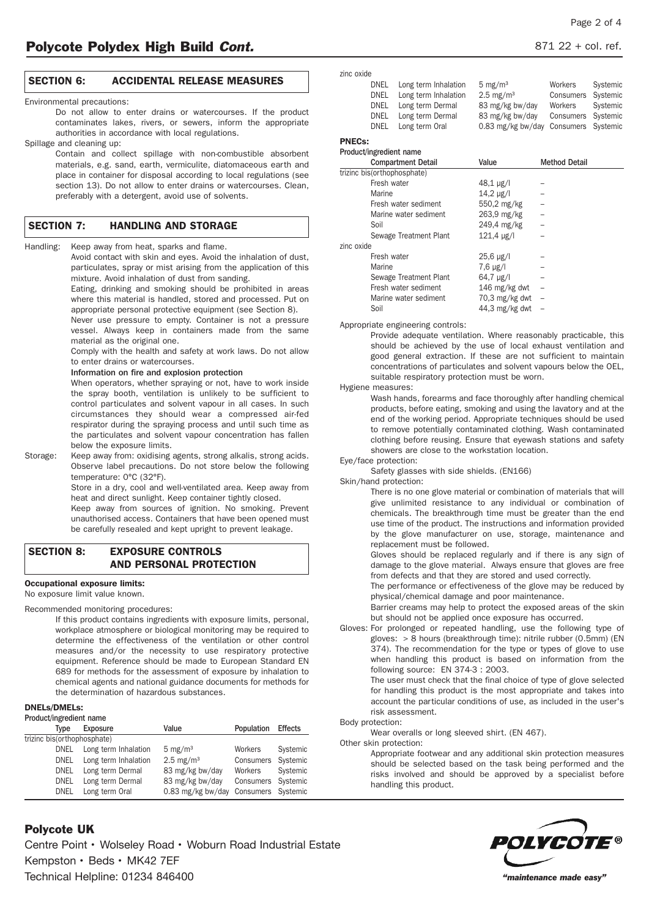# **SECTION 6: ACCIDENTAL RELEASE MEASURES**

Environmental precautions:

Do not allow to enter drains or watercourses. If the product contaminates lakes, rivers, or sewers, inform the appropriate authorities in accordance with local regulations.

#### Spillage and cleaning up:

Contain and collect spillage with non-combustible absorbent materials, e.g. sand, earth, vermiculite, diatomaceous earth and place in container for disposal according to local regulations (see section 13). Do not allow to enter drains or watercourses. Clean, preferably with a detergent, avoid use of solvents.

# **SECTION 7: HANDLING AND STORAGE**

Handling: Keep away from heat, sparks and flame.

Avoid contact with skin and eyes. Avoid the inhalation of dust, particulates, spray or mist arising from the application of this mixture. Avoid inhalation of dust from sanding.

Eating, drinking and smoking should be prohibited in areas where this material is handled, stored and processed. Put on appropriate personal protective equipment (see Section 8).

Never use pressure to empty. Container is not a pressure vessel. Always keep in containers made from the same material as the original one.

Comply with the health and safety at work laws. Do not allow to enter drains or watercourses.

Information on fire and explosion protection

When operators, whether spraying or not, have to work inside the spray booth, ventilation is unlikely to be sufficient to control particulates and solvent vapour in all cases. In such circumstances they should wear a compressed air-fed respirator during the spraying process and until such time as the particulates and solvent vapour concentration has fallen below the exposure limits.

Storage: Keep away from: oxidising agents, strong alkalis, strong acids. Observe label precautions. Do not store below the following temperature: 0°C (32°F).

> Store in a dry, cool and well-ventilated area. Keep away from heat and direct sunlight. Keep container tightly closed.

> Keep away from sources of ignition. No smoking. Prevent unauthorised access. Containers that have been opened must be carefully resealed and kept upright to prevent leakage.

# **SECTION 8: EXPOSURE CONTROLS AND PERSONAL PROTECTION**

# **Occupational exposure limits:**

No exposure limit value known.

Recommended monitoring procedures:

If this product contains ingredients with exposure limits, personal, workplace atmosphere or biological monitoring may be required to determine the effectiveness of the ventilation or other control measures and/or the necessity to use respiratory protective equipment. Reference should be made to European Standard EN 689 for methods for the assessment of exposure by inhalation to chemical agents and national guidance documents for methods for the determination of hazardous substances.

# **DNELs/DMELs:**

Product/ingredient name

| Type                        | Exposure             | Value                                | Population         | Effects  |
|-----------------------------|----------------------|--------------------------------------|--------------------|----------|
| trizinc bis(orthophosphate) |                      |                                      |                    |          |
| DNEL                        | Long term Inhalation | $5 \text{ mg/m}^3$                   | Workers            | Systemic |
| DNEL                        | Long term Inhalation | $2.5 \text{ mg/m}^3$                 | Consumers Systemic |          |
| DNEL                        | Long term Dermal     | 83 mg/kg bw/day                      | Workers            | Systemic |
| DNEL                        | Long term Dermal     | 83 mg/kg bw/day                      | Consumers Systemic |          |
| <b>DNEL</b>                 | Long term Oral       | 0.83 mg/kg bw/day Consumers Systemic |                    |          |

zinc oxide one<br>DNEL Long term Inhalation 5 mg/m<sup>3</sup> Workers

|  | DIVEL LONG LENIN INITIATION | $5$ me/m <sup>2</sup>                | WOTKERS SYSTEMING  |  |
|--|-----------------------------|--------------------------------------|--------------------|--|
|  | DNEL Long term Inhalation   | $2.5 \text{ m}$ g/m <sup>3</sup>     | Consumers Systemic |  |
|  | DNEL Long term Dermal       | 83 mg/kg bw/day                      | Workers Systemic   |  |
|  | DNEL Long term Dermal       | 83 mg/kg bw/day                      | Consumers Systemic |  |
|  | DNEL Long term Oral         | 0.83 mg/kg bw/day Consumers Systemic |                    |  |
|  |                             |                                      |                    |  |
|  |                             |                                      |                    |  |

# **PNECs:**

| Product/ingredient name     |                      |                      |
|-----------------------------|----------------------|----------------------|
| <b>Compartment Detail</b>   | Value                | <b>Method Detail</b> |
| trizinc bis(orthophosphate) |                      |                      |
| Fresh water                 | $48,1 \,\mu g/l$     |                      |
| Marine                      | $14.2 \mu g/l$       |                      |
| Fresh water sediment        | 550,2 mg/kg          |                      |
| Marine water sediment       | 263.9 mg/kg          |                      |
| Soil                        | 249.4 mg/kg          |                      |
| Sewage Treatment Plant      | $121.4 \text{ µg/l}$ |                      |
| zinc oxide                  |                      |                      |
| Fresh water                 | $25,6 \mu g/l$       |                      |
| Marine                      | $7.6 \mu g/l$        |                      |
| Sewage Treatment Plant      | $64.7 \mu g/l$       |                      |
| Fresh water sediment        | 146 $mg/kg$ dwt      |                      |
| Marine water sediment       | $70.3$ mg/kg dwt     |                      |
| Soil                        | 44,3 mg/kg dwt       |                      |

Appropriate engineering controls:

Provide adequate ventilation. Where reasonably practicable, this should be achieved by the use of local exhaust ventilation and good general extraction. If these are not sufficient to maintain concentrations of particulates and solvent vapours below the OEL, suitable respiratory protection must be worn.

#### Hygiene measures:

Wash hands, forearms and face thoroughly after handling chemical products, before eating, smoking and using the lavatory and at the end of the working period. Appropriate techniques should be used to remove potentially contaminated clothing. Wash contaminated clothing before reusing. Ensure that eyewash stations and safety showers are close to the workstation location.

Eye/face protection:

Safety glasses with side shields. (EN166)

Skin/hand protection:

There is no one glove material or combination of materials that will give unlimited resistance to any individual or combination of chemicals. The breakthrough time must be greater than the end use time of the product. The instructions and information provided by the glove manufacturer on use, storage, maintenance and replacement must be followed.

Gloves should be replaced regularly and if there is any sign of damage to the glove material. Always ensure that gloves are free from defects and that they are stored and used correctly.

The performance or effectiveness of the glove may be reduced by physical/chemical damage and poor maintenance.

Barrier creams may help to protect the exposed areas of the skin but should not be applied once exposure has occurred.

Gloves: For prolonged or repeated handling, use the following type of gloves: > 8 hours (breakthrough time): nitrile rubber (0.5mm) (EN 374). The recommendation for the type or types of glove to use when handling this product is based on information from the following source: EN 374-3 : 2003.

The user must check that the final choice of type of glove selected for handling this product is the most appropriate and takes into account the particular conditions of use, as included in the user's risk assessment.

#### Body protection:

Wear overalls or long sleeved shirt. (EN 467).

Other skin protection:

Appropriate footwear and any additional skin protection measures should be selected based on the task being performed and the risks involved and should be approved by a specialist before handling this product.

# **Polycote UK**

Centre Point • Wolseley Road • Woburn Road Industrial Estate Kempston • Beds • MK42 7EF Technical Helpline: 01234 846400 *"maintenance made easy"*

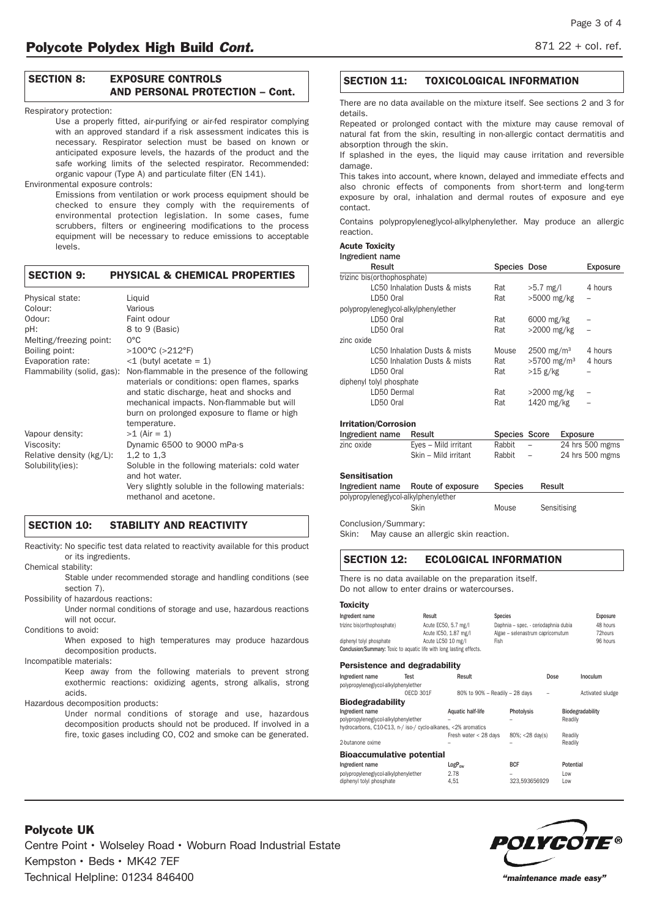# **SECTION 8: EXPOSURE CONTROLS AND PERSONAL PROTECTION – Cont.**

#### Respiratory protection:

Use a properly fitted, air-purifying or air-fed respirator complying with an approved standard if a risk assessment indicates this is necessary. Respirator selection must be based on known or anticipated exposure levels, the hazards of the product and the safe working limits of the selected respirator. Recommended: organic vapour (Type A) and particulate filter (EN 141).

#### Environmental exposure controls:

Emissions from ventilation or work process equipment should be checked to ensure they comply with the requirements of environmental protection legislation. In some cases, fume scrubbers, filters or engineering modifications to the process equipment will be necessary to reduce emissions to acceptable levels.

# **SECTION 9: PHYSICAL & CHEMICAL PROPERTIES**

| Physical state:            | Liguid                                                                     |
|----------------------------|----------------------------------------------------------------------------|
| Colour:                    | Various                                                                    |
| Odour:                     | Faint odour                                                                |
| pH:                        | 8 to 9 (Basic)                                                             |
| Melting/freezing point:    | $0^{\circ}$ C                                                              |
| Boiling point:             | $>100^{\circ}$ C ( $>212^{\circ}$ F)                                       |
| Evaporation rate:          | $-1$ (butyl acetate = 1)                                                   |
| Flammability (solid, gas): | Non-flammable in the presence of the following                             |
|                            | materials or conditions: open flames, sparks                               |
|                            | and static discharge, heat and shocks and                                  |
|                            | mechanical impacts. Non-flammable but will                                 |
|                            | burn on prolonged exposure to flame or high                                |
|                            | temperature.                                                               |
| Vapour density:            | $>1$ (Air = 1)                                                             |
| Viscosity:                 | Dynamic 6500 to 9000 mPa.s                                                 |
| Relative density (kg/L):   | 1,2 to $1,3$                                                               |
| Solubility(ies):           | Soluble in the following materials: cold water                             |
|                            | and hot water.                                                             |
|                            | Very slightly soluble in the following materials:<br>methanol and acetone. |

# **SECTION 10: STABILITY AND REACTIVITY**

Reactivity: No specific test data related to reactivity available for this product or its ingredients.

Chemical stability:

Stable under recommended storage and handling conditions (see section 7).

Possibility of hazardous reactions:

Under normal conditions of storage and use, hazardous reactions will not occur.

Conditions to avoid:

When exposed to high temperatures may produce hazardous decomposition products.

Incompatible materials:

Keep away from the following materials to prevent strong exothermic reactions: oxidizing agents, strong alkalis, strong acids.

Hazardous decomposition products:

Under normal conditions of storage and use, hazardous decomposition products should not be produced. If involved in a fire, toxic gases including CO, CO2 and smoke can be generated.

# **SECTION 11: TOXICOLOGICAL INFORMATION**

There are no data available on the mixture itself. See sections 2 and 3 for details.

Repeated or prolonged contact with the mixture may cause removal of natural fat from the skin, resulting in non-allergic contact dermatitis and absorption through the skin.

If splashed in the eyes, the liquid may cause irritation and reversible damage.

This takes into account, where known, delayed and immediate effects and also chronic effects of components from short-term and long-term exposure by oral, inhalation and dermal routes of exposure and eye contact.

Contains polypropyleneglycol-alkylphenylether. May produce an allergic reaction.

# **Acute Toxicity**

# Ingredient name

| Result                               | <b>Species Dose</b> |                           | Exposure |
|--------------------------------------|---------------------|---------------------------|----------|
| trizinc bis(orthophosphate)          |                     |                           |          |
| LC50 Inhalation Dusts & mists        | Rat                 | $>5.7$ mg/l               | 4 hours  |
| ID50 Oral                            | Rat                 | >5000 mg/kg               |          |
| polypropyleneglycol-alkylphenylether |                     |                           |          |
| LD50 Oral                            | Rat                 | 6000 mg/kg                |          |
| ID50 Oral                            | Rat                 | $>2000$ mg/kg             |          |
| zinc oxide                           |                     |                           |          |
| LC50 Inhalation Dusts & mists        | Mouse               | $2500 \; \text{mg/m}^3$   | 4 hours  |
| LC50 Inhalation Dusts & mists        | Rat                 | $>5700$ mg/m <sup>3</sup> | 4 hours  |
| LD50 Oral                            | Rat                 | >15 g/kg                  |          |
| diphenyl tolyl phosphate             |                     |                           |          |
| LD50 Dermal                          | Rat                 | $>2000$ mg/kg             |          |
| LD50 Oral                            | Rat                 | 1420 mg/kg                |          |
|                                      |                     |                           |          |

#### **Irritation/Corrosion**

| Ingredient name | Result               | Species Score |                          | Exposure        |
|-----------------|----------------------|---------------|--------------------------|-----------------|
| zinc oxide      | Eves - Mild irritant | Rabbit        | $\overline{\phantom{0}}$ | 24 hrs 500 mgms |
|                 | Skin - Mild irritant | Rabbit        | $-$                      | 24 hrs 500 mgms |

#### **Sensitisation**

| Ingredient name                      | Route of exposure | <b>Species</b> | Result      |
|--------------------------------------|-------------------|----------------|-------------|
| polypropyleneglycol-alkylphenylether |                   |                |             |
|                                      | Skin              | Mouse          | Sensitising |

Conclusion/Summary:

Skin: May cause an allergic skin reaction.

# **SECTION 12: ECOLOGICAL INFORMATION**

There is no data available on the preparation itself. Do not allow to enter drains or watercourses.

#### **Toxicity**

| Result                                                                                      |                    | <b>Species</b>                                                                                                                                                                                                                                            |                         |                                                                                  | Exposure                                       |
|---------------------------------------------------------------------------------------------|--------------------|-----------------------------------------------------------------------------------------------------------------------------------------------------------------------------------------------------------------------------------------------------------|-------------------------|----------------------------------------------------------------------------------|------------------------------------------------|
| trizinc bis(orthophosphate)<br>Acute EC50, 5.7 mg/l<br>Daphnia - spec. - ceriodaphnia dubia |                    |                                                                                                                                                                                                                                                           | 48 hours                |                                                                                  |                                                |
|                                                                                             |                    |                                                                                                                                                                                                                                                           |                         |                                                                                  | 72hours                                        |
|                                                                                             |                    | Fish                                                                                                                                                                                                                                                      |                         |                                                                                  | 96 hours                                       |
|                                                                                             |                    |                                                                                                                                                                                                                                                           |                         |                                                                                  |                                                |
|                                                                                             |                    |                                                                                                                                                                                                                                                           |                         |                                                                                  |                                                |
| Test                                                                                        | Result             |                                                                                                                                                                                                                                                           | Dose                    |                                                                                  | Inoculum                                       |
| polypropyleneglycol-alkylphenylether                                                        |                    |                                                                                                                                                                                                                                                           |                         |                                                                                  |                                                |
| OECD 301F                                                                                   |                    |                                                                                                                                                                                                                                                           |                         |                                                                                  | Activated sludge                               |
| <b>Biodegradability</b>                                                                     |                    |                                                                                                                                                                                                                                                           |                         |                                                                                  |                                                |
|                                                                                             | Aquatic half-life  |                                                                                                                                                                                                                                                           |                         |                                                                                  | Biodegradability                               |
| polypropyleneglycol-alkylphenylether                                                        |                    |                                                                                                                                                                                                                                                           |                         | Readily                                                                          |                                                |
|                                                                                             |                    |                                                                                                                                                                                                                                                           |                         |                                                                                  |                                                |
|                                                                                             |                    |                                                                                                                                                                                                                                                           |                         | Readily                                                                          |                                                |
|                                                                                             |                    |                                                                                                                                                                                                                                                           |                         | Readily                                                                          |                                                |
|                                                                                             |                    |                                                                                                                                                                                                                                                           |                         |                                                                                  |                                                |
|                                                                                             | $LogP_{\text{ow}}$ | <b>BCF</b>                                                                                                                                                                                                                                                |                         |                                                                                  |                                                |
| polypropyleneglycol-alkylphenylether                                                        | 2.78               |                                                                                                                                                                                                                                                           |                         | Low                                                                              |                                                |
|                                                                                             | 4.51               |                                                                                                                                                                                                                                                           |                         | Low                                                                              |                                                |
|                                                                                             |                    | Acute IC50, 1.87 mg/l<br>Acute LC50 10 mg/l<br>Conclusion/Summary: Toxic to aquatic life with long lasting effects.<br>Persistence and degradability<br>hydrocarbons, C10-C13, n-/ iso-/ cyclo-alkanes, <2% aromatics<br><b>Bioaccumulative potential</b> | Fresh water $<$ 28 days | 80% to 90% - Readily - 28 days<br>Photolysis<br>80%; <28 day(s)<br>323.593656929 | Algae - selenastrum capricornutum<br>Potential |



Centre Point • Wolseley Road • Woburn Road Industrial Estate Kempston • Beds • MK42 7EF Technical Helpline: 01234 846400 *"maintenance made easy"*